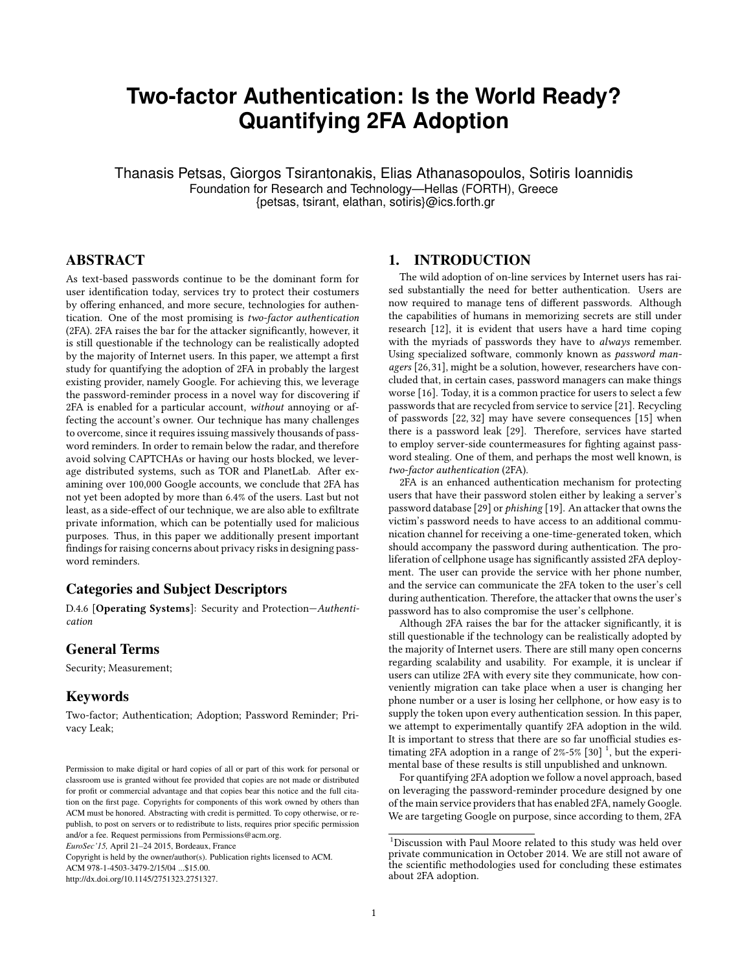# **Two-factor Authentication: Is the World Ready? Quantifying 2FA Adoption**

Thanasis Petsas, Giorgos Tsirantonakis, Elias Athanasopoulos, Sotiris Ioannidis Foundation for Research and Technology—Hellas (FORTH), Greece {petsas, tsirant, elathan, sotiris}@ics.forth.gr

# ABSTRACT

As text-based passwords continue to be the dominant form for user identification today, services try to protect their costumers by offering enhanced, and more secure, technologies for authentication. One of the most promising is two-factor authentication (2FA). 2FA raises the bar for the attacker significantly, however, it is still questionable if the technology can be realistically adopted by the majority of Internet users. In this paper, we attempt a first study for quantifying the adoption of 2FA in probably the largest existing provider, namely Google. For achieving this, we leverage the password-reminder process in a novel way for discovering if 2FA is enabled for a particular account, without annoying or affecting the account's owner. Our technique has many challenges to overcome, since it requires issuing massively thousands of password reminders. In order to remain below the radar, and therefore avoid solving CAPTCHAs or having our hosts blocked, we leverage distributed systems, such as TOR and PlanetLab. After examining over 100,000 Google accounts, we conclude that 2FA has not yet been adopted by more than 6.4% of the users. Last but not least, as a side-effect of our technique, we are also able to exfiltrate private information, which can be potentially used for malicious purposes. Thus, in this paper we additionally present important findings for raising concerns about privacy risks in designing password reminders.

# Categories and Subject Descriptors

D.4.6 [Operating Systems]: Security and Protection—Authentication

#### General Terms

Security; Measurement;

## Keywords

Two-factor; Authentication; Adoption; Password Reminder; Privacy Leak;

Copyright is held by the owner/author(s). Publication rights licensed to ACM.

ACM 978-1-4503-3479-2/15/04 ...\$15.00.

http://dx.doi.org/10.1145/2751323.2751327.

# 1. INTRODUCTION

The wild adoption of on-line services by Internet users has raised substantially the need for better authentication. Users are now required to manage tens of different passwords. Although the capabilities of humans in memorizing secrets are still under research [\[12\]](#page-6-0), it is evident that users have a hard time coping with the myriads of passwords they have to always remember. Using specialized software, commonly known as password managers [\[26,](#page-6-1)[31\]](#page-6-2), might be a solution, however, researchers have concluded that, in certain cases, password managers can make things worse [\[16\]](#page-6-3). Today, it is a common practice for users to select a few passwords that are recycled from service to service [\[21\]](#page-6-4). Recycling of passwords [\[22,](#page-6-5) [32\]](#page-6-6) may have severe consequences [\[15\]](#page-6-7) when there is a password leak [\[29\]](#page-6-8). Therefore, services have started to employ server-side countermeasures for fighting against password stealing. One of them, and perhaps the most well known, is two-factor authentication (2FA).

2FA is an enhanced authentication mechanism for protecting users that have their password stolen either by leaking a server's password database [\[29\]](#page-6-8) or phishing [\[19\]](#page-6-9). An attacker that owns the victim's password needs to have access to an additional communication channel for receiving a one-time-generated token, which should accompany the password during authentication. The proliferation of cellphone usage has significantly assisted 2FA deployment. The user can provide the service with her phone number, and the service can communicate the 2FA token to the user's cell during authentication. Therefore, the attacker that owns the user's password has to also compromise the user's cellphone.

Although 2FA raises the bar for the attacker significantly, it is still questionable if the technology can be realistically adopted by the majority of Internet users. There are still many open concerns regarding scalability and usability. For example, it is unclear if users can utilize 2FA with every site they communicate, how conveniently migration can take place when a user is changing her phone number or a user is losing her cellphone, or how easy is to supply the token upon every authentication session. In this paper, we attempt to experimentally quantify 2FA adoption in the wild. It is important to stress that there are so far unofficial studies estimating 2FA adoption in a range of  $2\%$ -5% [\[30\]](#page-6-10)<sup>[1](#page-0-0)</sup>, but the experimental base of these results is still unpublished and unknown.

For quantifying 2FA adoption we follow a novel approach, based on leveraging the password-reminder procedure designed by one of the main service providers that has enabled 2FA, namely Google. We are targeting Google on purpose, since according to them, 2FA

Permission to make digital or hard copies of all or part of this work for personal or classroom use is granted without fee provided that copies are not made or distributed for profit or commercial advantage and that copies bear this notice and the full citation on the first page. Copyrights for components of this work owned by others than ACM must be honored. Abstracting with credit is permitted. To copy otherwise, or republish, to post on servers or to redistribute to lists, requires prior specific permission and/or a fee. Request permissions from Permissions@acm.org.

*EuroSec'15,* April 21–24 2015, Bordeaux, France

<span id="page-0-0"></span> $^1\rm{Discussion}$  with Paul Moore related to this study was held over private communication in October 2014. We are still not aware of the scientific methodologies used for concluding these estimates about 2FA adoption.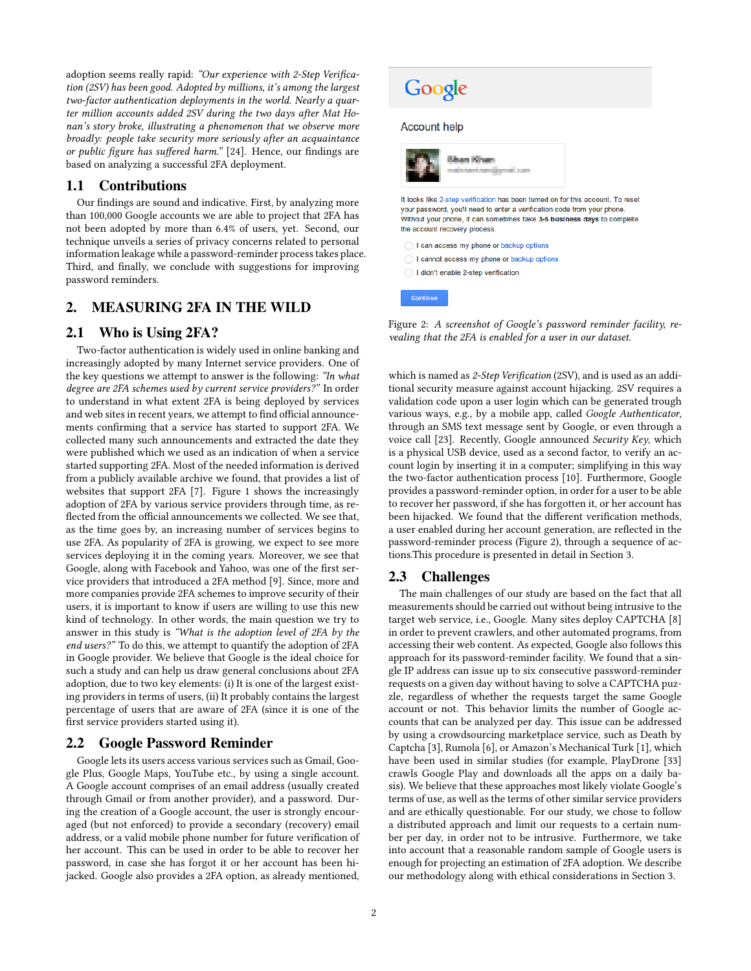adoption seems really rapid: "Our experience with 2-Step Verification (2SV) has been good. Adopted by millions, it's among the largest two-factor authentication deployments in the world. Nearly a quarter million accounts added 2SV during the two days after Mat Honan's story broke, illustrating a phenomenon that we observe more broadly: people take security more seriously after an acquaintance or public figure has suffered harm." [\[24\]](#page-6-11). Hence, our findings are based on analyzing a successful 2FA deployment.

## 1.1 Contributions

Our findings are sound and indicative. First, by analyzing more than 100,000 Google accounts we are able to project that 2FA has not been adopted by more than 6.4% of users, yet. Second, our technique unveils a series of privacy concerns related to personal information leakage while a password-reminder process takes place. Third, and finally, we conclude with suggestions for improving password reminders.

# 2. MEASURING 2FA IN THE WILD

## 2.1 Who is Using 2FA?

Two-factor authentication is widely used in online banking and increasingly adopted by many Internet service providers. One of the key questions we attempt to answer is the following: "In what degree are 2FA schemes used by current service providers?" In order to understand in what extent 2FA is being deployed by services and web sites in recent years, we attempt to find official announcements confirming that a service has started to support 2FA. We collected many such announcements and extracted the date they were published which we used as an indication of when a service started supporting 2FA. Most of the needed information is derived from a publicly available archive we found, that provides a list of websites that support 2FA [\[7\]](#page-6-12). Figure [1](#page-2-0) shows the increasingly adoption of 2FA by various service providers through time, as re flected from the official announcements we collected. We see that, as the time goes by, an increasing number of services begins to use 2FA. As popularity of 2FA is growing, we expect to see more services deploying it in the coming years. Moreover, we see that Google, along with Facebook and Yahoo, was one of the first service providers that introduced a 2FA method [\[9\]](#page-6-13). Since, more and more companies provide 2FA schemes to improve security of their users, it is important to know if users are willing to use this new kind of technology. In other words, the main question we try to answer in this study is "What is the adoption level of 2FA by the end users?" To do this, we attempt to quantify the adoption of 2FA in Google provider. We believe that Google is the ideal choice for such a study and can help us draw general conclusions about 2FA adoption, due to two key elements: (i) It is one of the largest existing providers in terms of users, (ii) It probably contains the largest percentage of users that are aware of 2FA (since it is one of the first service providers started using it).

### <span id="page-1-1"></span>2.2 Google Password Reminder

Google lets its users access various services such as Gmail, Google Plus, Google Maps, YouTube etc., by using a single account. A Google account comprises of an email address (usually created through Gmail or from another provider), and a password. During the creation of a Google account, the user is strongly encouraged (but not enforced) to provide a secondary (recovery) email address, or a valid mobile phone number for future verification of her account. This can be used in order to be able to recover her password, in case she has forgot it or her account has been hijacked. Google also provides a 2FA option, as already mentioned,

<span id="page-1-0"></span>

Figure 2: A screenshot of Google's password reminder facility, revealing that the 2FA is enabled for a user in our dataset.

which is named as  $2$ -Step Verification (2SV), and is used as an additional security measure against account hijacking. 2SV requires a validation code upon a user login which can be generated trough various ways, e.g., by a mobile app, called Google Authenticator, through an SMS text message sent by Google, or even through a voice call [\[23\]](#page-6-14). Recently, Google announced Security Key, which is a physical USB device, used as a second factor, to verify an account login by inserting it in a computer; simplifying in this way the two-factor authentication process [\[10\]](#page-6-15). Furthermore, Google provides a password-reminder option, in order for a user to be able to recover her password, if she has forgotten it, or her account has been hijacked. We found that the different verification methods, a user enabled during her account generation, are reflected in the password-reminder process (Figure [2\)](#page-1-0), through a sequence of actions.This procedure is presented in detail in Section [3.](#page-2-1)

# 2.3 Challenges

The main challenges of our study are based on the fact that all measurements should be carried out without being intrusive to the target web service, i.e., Google. Many sites deploy CAPTCHA [\[8\]](#page-6-16) in order to prevent crawlers, and other automated programs, from accessing their web content. As expected, Google also follows this approach for its password-reminder facility. We found that a single IP address can issue up to six consecutive password-reminder requests on a given day without having to solve a CAPTCHA puzzle, regardless of whether the requests target the same Google account or not. This behavior limits the number of Google accounts that can be analyzed per day. This issue can be addressed by using a crowdsourcing marketplace service, such as Death by Captcha [\[3\]](#page-6-17), Rumola [\[6\]](#page-6-18), or Amazon's Mechanical Turk [\[1\]](#page-6-19), which have been used in similar studies (for example, PlayDrone [\[33\]](#page-6-20) crawls Google Play and downloads all the apps on a daily basis). We believe that these approaches most likely violate Google's terms of use, as well as the terms of other similar service providers and are ethically questionable. For our study, we chose to follow a distributed approach and limit our requests to a certain number per day, in order not to be intrusive. Furthermore, we take into account that a reasonable random sample of Google users is enough for projecting an estimation of 2FA adoption. We describe our methodology along with ethical considerations in Section [3.](#page-2-1)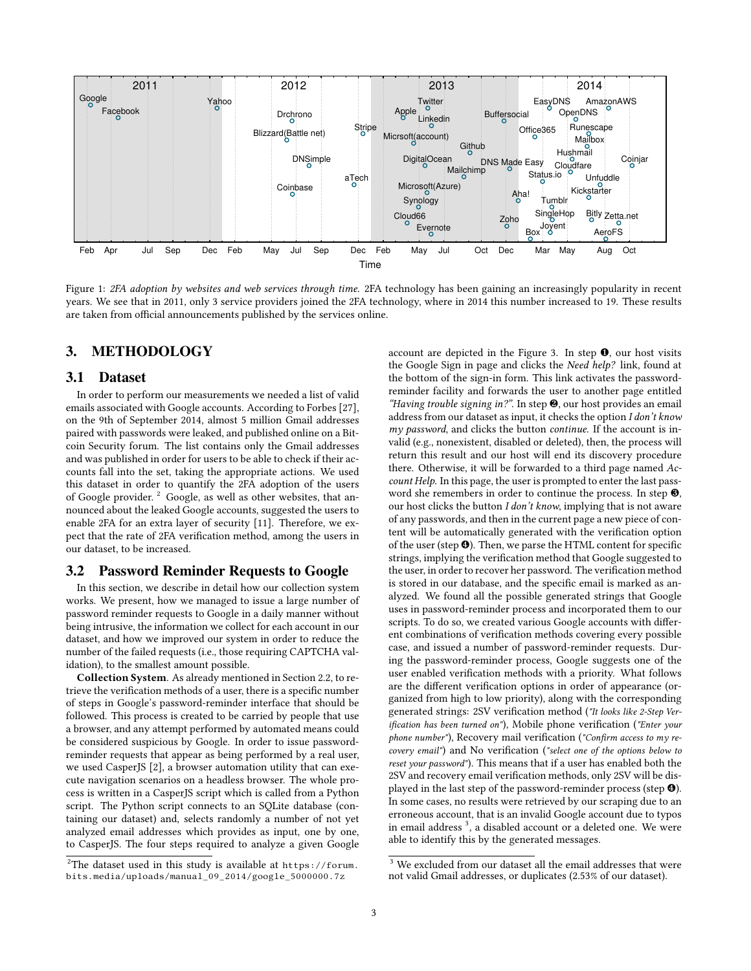<span id="page-2-0"></span>

Figure 1: 2FA adoption by websites and web services through time. 2FA technology has been gaining an increasingly popularity in recent years. We see that in 2011, only 3 service providers joined the 2FA technology, where in 2014 this number increased to 19. These results are taken from official announcements published by the services online.

# <span id="page-2-1"></span>3. METHODOLOGY

#### 3.1 Dataset

In order to perform our measurements we needed a list of valid emails associated with Google accounts. According to Forbes [\[27\]](#page-6-21), on the 9th of September 2014, almost 5 million Gmail addresses paired with passwords were leaked, and published online on a Bitcoin Security forum. The list contains only the Gmail addresses and was published in order for users to be able to check if their accounts fall into the set, taking the appropriate actions. We used this dataset in order to quantify the 2FA adoption of the users of Google provider. <sup>[2](#page-2-2)</sup> Google, as well as other websites, that announced about the leaked Google accounts, suggested the users to enable 2FA for an extra layer of security [\[11\]](#page-6-22). Therefore, we expect that the rate of 2FA verification method, among the users in our dataset, to be increased.

#### 3.2 Password Reminder Requests to Google

In this section, we describe in detail how our collection system works. We present, how we managed to issue a large number of password reminder requests to Google in a daily manner without being intrusive, the information we collect for each account in our dataset, and how we improved our system in order to reduce the number of the failed requests (i.e., those requiring CAPTCHA validation), to the smallest amount possible.

Collection System. As already mentioned in Section [2.2,](#page-1-1) to retrieve the verification methods of a user, there is a specific number of steps in Google's password-reminder interface that should be followed. This process is created to be carried by people that use a browser, and any attempt performed by automated means could be considered suspicious by Google. In order to issue passwordreminder requests that appear as being performed by a real user, we used CasperJS [\[2\]](#page-6-23), a browser automation utility that can execute navigation scenarios on a headless browser. The whole process is written in a CasperJS script which is called from a Python script. The Python script connects to an SQLite database (containing our dataset) and, selects randomly a number of not yet analyzed email addresses which provides as input, one by one, to CasperJS. The four steps required to analyze a given Google account are depicted in the Figure [3.](#page-3-0) In step ❶, our host visits the Google Sign in page and clicks the Need help? link, found at the bottom of the sign-in form. This link activates the passwordreminder facility and forwards the user to another page entitled "Having trouble signing in?". In step ❷, our host provides an email address from our dataset as input, it checks the option I don't know my password, and clicks the button continue. If the account is invalid (e.g., nonexistent, disabled or deleted), then, the process will return this result and our host will end its discovery procedure there. Otherwise, it will be forwarded to a third page named Account Help. In this page, the user is prompted to enter the last password she remembers in order to continue the process. In step  $\Theta$ , our host clicks the button I don't know, implying that is not aware of any passwords, and then in the current page a new piece of content will be automatically generated with the verification option of the user (step  $\Theta$ ). Then, we parse the HTML content for specific strings, implying the verification method that Google suggested to the user, in order to recover her password. The verification method is stored in our database, and the specific email is marked as analyzed. We found all the possible generated strings that Google uses in password-reminder process and incorporated them to our scripts. To do so, we created various Google accounts with different combinations of verification methods covering every possible case, and issued a number of password-reminder requests. During the password-reminder process, Google suggests one of the user enabled verification methods with a priority. What follows are the different verification options in order of appearance (organized from high to low priority), along with the corresponding generated strings: 2SV verification method ("It looks like 2-Step Verification has been turned on"), Mobile phone verification ("Enter your phone number"), Recovery mail verification ("Confirm access to my recovery email") and No verification ("select one of the options below to reset your password"). This means that if a user has enabled both the 2SV and recovery email verification methods, only 2SV will be displayed in the last step of the password-reminder process (step ❹). In some cases, no results were retrieved by our scraping due to an erroneous account, that is an invalid Google account due to typos in email address<sup>[3](#page-2-3)</sup>, a disabled account or a deleted one. We were able to identify this by the generated messages.

<span id="page-2-2"></span><sup>&</sup>lt;sup>2</sup>The dataset used in this study is available at [https://forum.](https://forum.bits.media/uploads/manual_09_2014/google_5000000.7z) [bits.media/uploads/manual\\_09\\_2014/google\\_5000000.7z](https://forum.bits.media/uploads/manual_09_2014/google_5000000.7z)

<span id="page-2-3"></span> $^{\rm 3}$  We excluded from our dataset all the email addresses that were not valid Gmail addresses, or duplicates (2.53% of our dataset).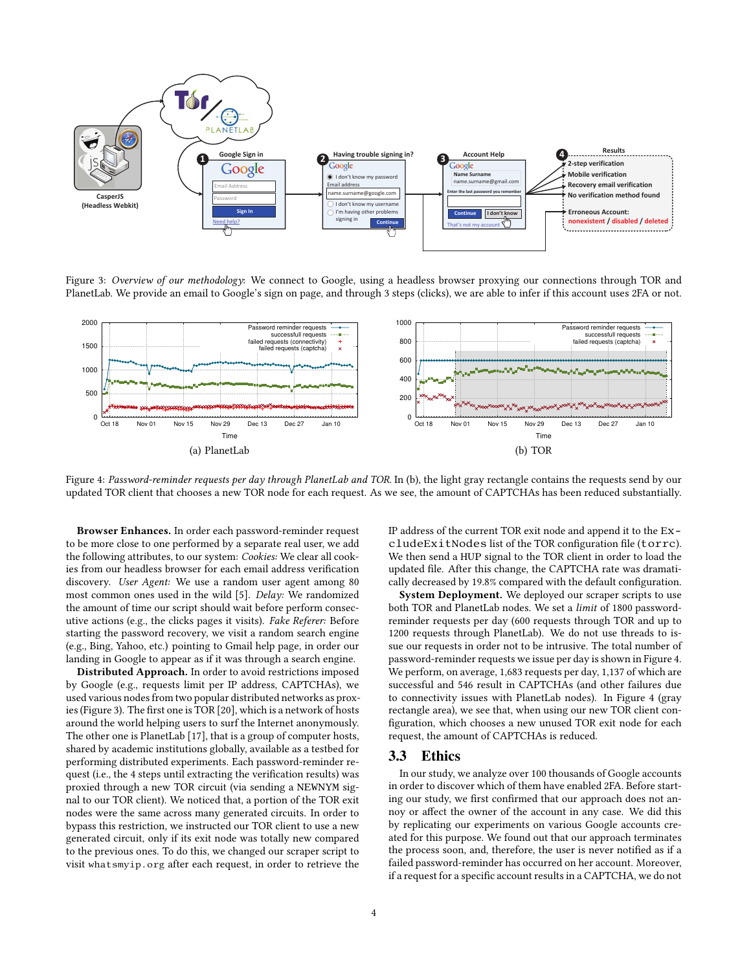<span id="page-3-0"></span>

Figure 3: Overview of our methodology: We connect to Google, using a headless browser proxying our connections through TOR and PlanetLab. We provide an email to Google's sign on page, and through 3 steps (clicks), we are able to infer if this account uses 2FA or not.

<span id="page-3-1"></span>

Figure 4: Password-reminder requests per day through PlanetLab and TOR. In (b), the light gray rectangle contains the requests send by our updated TOR client that chooses a new TOR node for each request. As we see, the amount of CAPTCHAs has been reduced substantially.

Browser Enhances. In order each password-reminder request to be more close to one performed by a separate real user, we add the following attributes, to our system: Cookies: We clear all cookies from our headless browser for each email address verification discovery. User Agent: We use a random user agent among 80 most common ones used in the wild [\[5\]](#page-6-24). Delay: We randomized the amount of time our script should wait before perform consecutive actions (e.g., the clicks pages it visits). Fake Referer: Before starting the password recovery, we visit a random search engine (e.g., Bing, Yahoo, etc.) pointing to Gmail help page, in order our landing in Google to appear as if it was through a search engine.

Distributed Approach. In order to avoid restrictions imposed by Google (e.g., requests limit per IP address, CAPTCHAs), we used various nodes from two popular distributed networks as prox-ies (Figure [3\)](#page-3-0). The first one is TOR  $[20]$ , which is a network of hosts around the world helping users to surf the Internet anonymously. The other one is PlanetLab [\[17\]](#page-6-26), that is a group of computer hosts, shared by academic institutions globally, available as a testbed for performing distributed experiments. Each password-reminder request (i.e., the 4 steps until extracting the verification results) was proxied through a new TOR circuit (via sending a NEWNYM signal to our TOR client). We noticed that, a portion of the TOR exit nodes were the same across many generated circuits. In order to bypass this restriction, we instructed our TOR client to use a new generated circuit, only if its exit node was totally new compared to the previous ones. To do this, we changed our scraper script to visit <whatsmyip.org> after each request, in order to retrieve the

IP address of the current TOR exit node and append it to the ExcludeExitNodes list of the TOR configuration file (torrc). We then send a HUP signal to the TOR client in order to load the updated file. After this change, the CAPTCHA rate was dramatically decreased by 19.8% compared with the default configuration.

System Deployment. We deployed our scraper scripts to use both TOR and PlanetLab nodes. We set a limit of 1800 passwordreminder requests per day (600 requests through TOR and up to 1200 requests through PlanetLab). We do not use threads to issue our requests in order not to be intrusive. The total number of password-reminder requests we issue per day is shown in Figure [4.](#page-3-1) We perform, on average, 1,683 requests per day, 1,137 of which are successful and 546 result in CAPTCHAs (and other failures due to connectivity issues with PlanetLab nodes). In Figure [4](#page-3-1) (gray rectangle area), we see that, when using our new TOR client con figuration, which chooses a new unused TOR exit node for each request, the amount of CAPTCHAs is reduced.

#### 3.3 Ethics

In our study, we analyze over 100 thousands of Google accounts in order to discover which of them have enabled 2FA. Before starting our study, we first confirmed that our approach does not annoy or affect the owner of the account in any case. We did this by replicating our experiments on various Google accounts created for this purpose. We found out that our approach terminates the process soon, and, therefore, the user is never notified as if a failed password-reminder has occurred on her account. Moreover, if a request for a specific account results in a CAPTCHA, we do not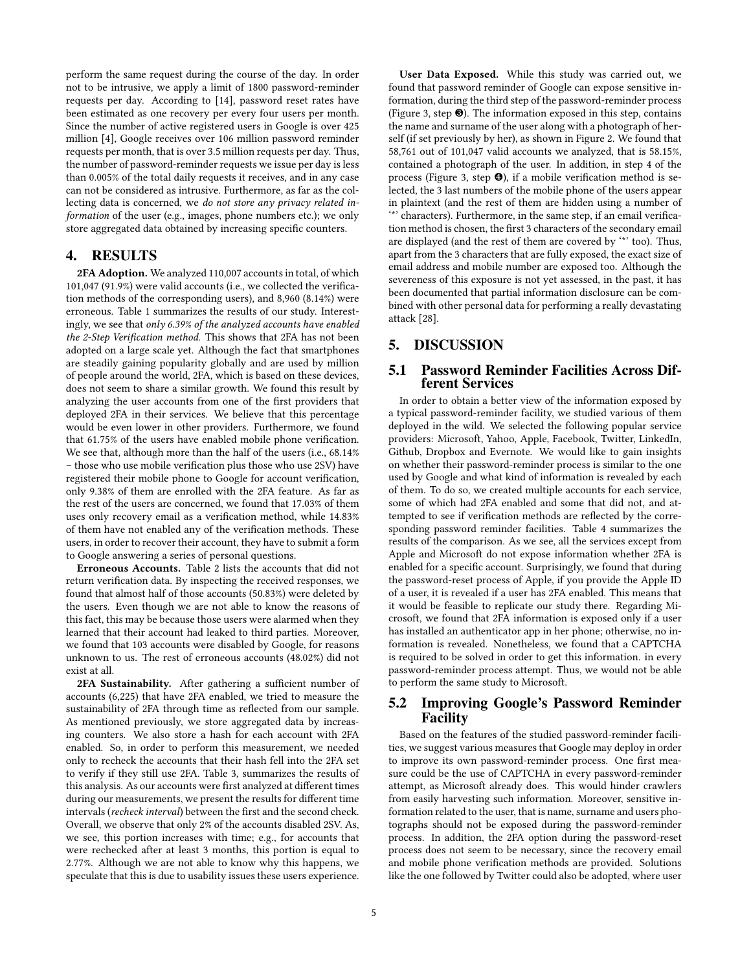perform the same request during the course of the day. In order not to be intrusive, we apply a limit of 1800 password-reminder requests per day. According to [\[14\]](#page-6-27), password reset rates have been estimated as one recovery per every four users per month. Since the number of active registered users in Google is over 425 million [\[4\]](#page-6-28), Google receives over 106 million password reminder requests per month, that is over 3.5 million requests per day. Thus, the number of password-reminder requests we issue per day is less than 0.005% of the total daily requests it receives, and in any case can not be considered as intrusive. Furthermore, as far as the collecting data is concerned, we do not store any privacy related information of the user (e.g., images, phone numbers etc.); we only store aggregated data obtained by increasing specific counters.

## 4. RESULTS

2FA Adoption. We analyzed 110,007 accounts in total, of which 101,047 (91.9%) were valid accounts (i.e., we collected the verification methods of the corresponding users), and 8,960 (8.14%) were erroneous. Table [1](#page-5-0) summarizes the results of our study. Interestingly, we see that only 6.39% of the analyzed accounts have enabled the 2-Step Verification method. This shows that 2FA has not been adopted on a large scale yet. Although the fact that smartphones are steadily gaining popularity globally and are used by million of people around the world, 2FA, which is based on these devices, does not seem to share a similar growth. We found this result by analyzing the user accounts from one of the first providers that deployed 2FA in their services. We believe that this percentage would be even lower in other providers. Furthermore, we found that 61.75% of the users have enabled mobile phone verification. We see that, although more than the half of the users (i.e., 68.14% – those who use mobile verification plus those who use 2SV) have registered their mobile phone to Google for account verification, only 9.38% of them are enrolled with the 2FA feature. As far as the rest of the users are concerned, we found that 17.03% of them uses only recovery email as a verification method, while 14.83% of them have not enabled any of the verification methods. These users, in order to recover their account, they have to submit a form to Google answering a series of personal questions.

Erroneous Accounts. Table [2](#page-5-0) lists the accounts that did not return verification data. By inspecting the received responses, we found that almost half of those accounts (50.83%) were deleted by the users. Even though we are not able to know the reasons of this fact, this may be because those users were alarmed when they learned that their account had leaked to third parties. Moreover, we found that 103 accounts were disabled by Google, for reasons unknown to us. The rest of erroneous accounts (48.02%) did not exist at all.

2FA Sustainability. After gathering a sufficient number of accounts (6,225) that have 2FA enabled, we tried to measure the sustainability of 2FA through time as reflected from our sample. As mentioned previously, we store aggregated data by increasing counters. We also store a hash for each account with 2FA enabled. So, in order to perform this measurement, we needed only to recheck the accounts that their hash fell into the 2FA set to verify if they still use 2FA. Table [3,](#page-5-1) summarizes the results of this analysis. As our accounts were first analyzed at different times during our measurements, we present the results for different time intervals (recheck interval) between the first and the second check. Overall, we observe that only 2% of the accounts disabled 2SV. As, we see, this portion increases with time; e.g., for accounts that were rechecked after at least 3 months, this portion is equal to 2.77%. Although we are not able to know why this happens, we speculate that this is due to usability issues these users experience.

User Data Exposed. While this study was carried out, we found that password reminder of Google can expose sensitive information, during the third step of the password-reminder process (Figure [3,](#page-3-0) step ❸). The information exposed in this step, contains the name and surname of the user along with a photograph of herself (if set previously by her), as shown in Figure [2.](#page-1-0) We found that 58,761 out of 101,047 valid accounts we analyzed, that is 58.15%, contained a photograph of the user. In addition, in step 4 of the process (Figure [3,](#page-3-0) step  $\Theta$ ), if a mobile verification method is selected, the 3 last numbers of the mobile phone of the users appear in plaintext (and the rest of them are hidden using a number of "<sup>\*</sup> characters). Furthermore, in the same step, if an email verification method is chosen, the first 3 characters of the secondary email are displayed (and the rest of them are covered by '\*' too). Thus, apart from the 3 characters that are fully exposed, the exact size of email address and mobile number are exposed too. Although the severeness of this exposure is not yet assessed, in the past, it has been documented that partial information disclosure can be combined with other personal data for performing a really devastating attack [\[28\]](#page-6-29).

# 5. DISCUSSION

# 5.1 Password Reminder Facilities Across Different Services

In order to obtain a better view of the information exposed by a typical password-reminder facility, we studied various of them deployed in the wild. We selected the following popular service providers: Microsoft, Yahoo, Apple, Facebook, Twitter, LinkedIn, Github, Dropbox and Evernote. We would like to gain insights on whether their password-reminder process is similar to the one used by Google and what kind of information is revealed by each of them. To do so, we created multiple accounts for each service, some of which had 2FA enabled and some that did not, and attempted to see if verification methods are reflected by the corresponding password reminder facilities. Table [4](#page-5-1) summarizes the results of the comparison. As we see, all the services except from Apple and Microsoft do not expose information whether 2FA is enabled for a specific account. Surprisingly, we found that during the password-reset process of Apple, if you provide the Apple ID of a user, it is revealed if a user has 2FA enabled. This means that it would be feasible to replicate our study there. Regarding Microsoft, we found that 2FA information is exposed only if a user has installed an authenticator app in her phone; otherwise, no information is revealed. Nonetheless, we found that a CAPTCHA is required to be solved in order to get this information. in every password-reminder process attempt. Thus, we would not be able to perform the same study to Microsoft.

## 5.2 Improving Google's Password Reminder Facility

Based on the features of the studied password-reminder facilities, we suggest various measures that Google may deploy in order to improve its own password-reminder process. One first measure could be the use of CAPTCHA in every password-reminder attempt, as Microsoft already does. This would hinder crawlers from easily harvesting such information. Moreover, sensitive information related to the user, that is name, surname and users photographs should not be exposed during the password-reminder process. In addition, the 2FA option during the password-reset process does not seem to be necessary, since the recovery email and mobile phone verification methods are provided. Solutions like the one followed by Twitter could also be adopted, where user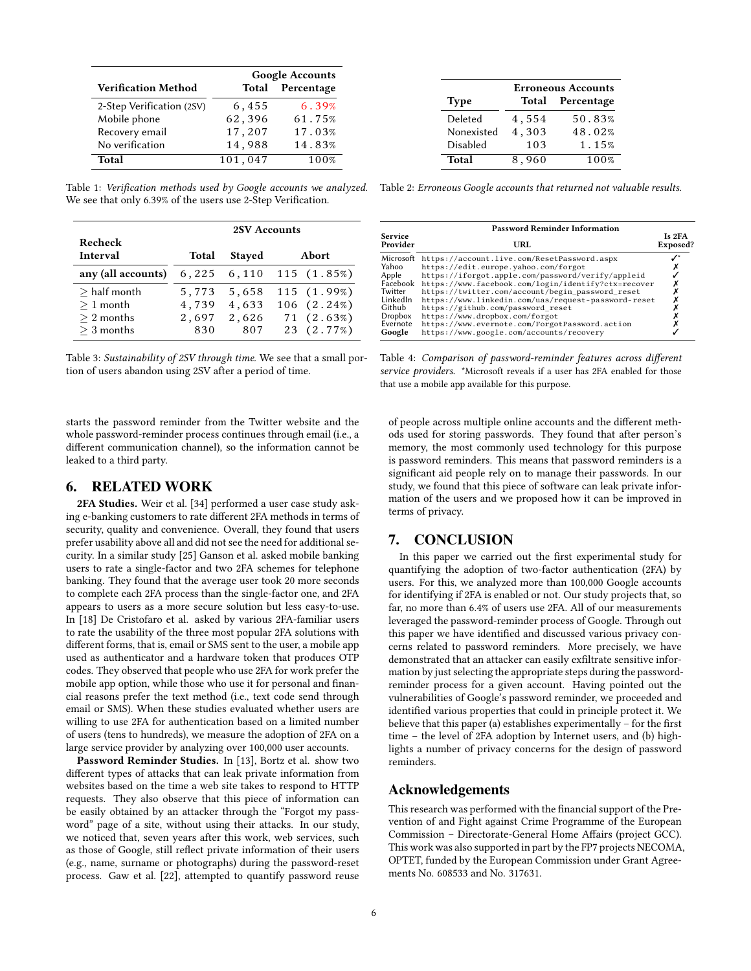<span id="page-5-0"></span>

|                            | <b>Google Accounts</b> |            |  |
|----------------------------|------------------------|------------|--|
| <b>Verification Method</b> | <b>Total</b>           | Percentage |  |
| 2-Step Verification (2SV)  | 6,455                  | 6.39%      |  |
| Mobile phone               | 62,396                 | 61.75%     |  |
| Recovery email             | 17,207                 | 17.03%     |  |
| No verification            | 14,988                 | 14.83%     |  |
| Total                      | 101,047                | 100%       |  |

We see that only 6.39% of the users use 2-Step Verification.

<span id="page-5-1"></span>

|                    | <b>2SV Accounts</b> |               |       |             |
|--------------------|---------------------|---------------|-------|-------------|
| Recheck            |                     |               |       |             |
| Interval           | <b>Total</b>        | <b>Stayed</b> | Abort |             |
| any (all accounts) | 6,225               | 6,110         |       | 115(1.85%)  |
| $>$ half month     | 5,773               | 5,658         |       | 115 (1.99%) |
| $>1$ month         | 4,739               | 4,633         |       | 106 (2.24%) |
| $\geq 2$ months    | 2,697               | 2,626         |       | 71 (2.63%)  |
| $>$ 3 months       | 830                 | 807           |       | 23 (2.77%)  |

Table 3: Sustainability of 2SV through time. We see that a small portion of users abandon using 2SV after a period of time.

starts the password reminder from the Twitter website and the whole password-reminder process continues through email (i.e., a different communication channel), so the information cannot be leaked to a third party.

## 6. RELATED WORK

2FA Studies. Weir et al. [\[34\]](#page-6-30) performed a user case study asking e-banking customers to rate different 2FA methods in terms of security, quality and convenience. Overall, they found that users prefer usability above all and did not see the need for additional security. In a similar study [\[25\]](#page-6-31) Ganson et al. asked mobile banking users to rate a single-factor and two 2FA schemes for telephone banking. They found that the average user took 20 more seconds to complete each 2FA process than the single-factor one, and 2FA appears to users as a more secure solution but less easy-to-use. In [\[18\]](#page-6-32) De Cristofaro et al. asked by various 2FA-familiar users to rate the usability of the three most popular 2FA solutions with different forms, that is, email or SMS sent to the user, a mobile app used as authenticator and a hardware token that produces OTP codes. They observed that people who use 2FA for work prefer the mobile app option, while those who use it for personal and financial reasons prefer the text method (i.e., text code send through email or SMS). When these studies evaluated whether users are willing to use 2FA for authentication based on a limited number of users (tens to hundreds), we measure the adoption of 2FA on a large service provider by analyzing over 100,000 user accounts.

Password Reminder Studies. In [\[13\]](#page-6-33), Bortz et al. show two different types of attacks that can leak private information from websites based on the time a web site takes to respond to HTTP requests. They also observe that this piece of information can be easily obtained by an attacker through the "Forgot my password" page of a site, without using their attacks. In our study, we noticed that, seven years after this work, web services, such as those of Google, still reflect private information of their users (e.g., name, surname or photographs) during the password-reset process. Gaw et al. [\[22\]](#page-6-5), attempted to quantify password reuse

|             | <b>Erroneous Accounts</b> |                  |  |  |
|-------------|---------------------------|------------------|--|--|
| <b>Type</b> |                           | Total Percentage |  |  |
| Deleted     | 4,554                     | 50.83%           |  |  |
| Nonexisted  | 4,303                     | 48.02%           |  |  |
| Disabled    | 103                       | 1.15%            |  |  |
| Total       | 8,960                     | 100%             |  |  |

Table 1: Verification methods used by Google accounts we analyzed. Table 2: Erroneous Google accounts that returned not valuable results.

|                            | <b>Password Reminder Information</b>                                                                    |                    |  |  |  |
|----------------------------|---------------------------------------------------------------------------------------------------------|--------------------|--|--|--|
| <b>Service</b><br>Provider | URL                                                                                                     | Is 2FA<br>Exposed? |  |  |  |
| Microsoft                  | https://account.live.com/ResetPassword.aspx                                                             |                    |  |  |  |
| Yahoo<br>Apple             | https://edit.europe.yahoo.com/forgot<br>https://iforgot.apple.com/password/verify/appleid               |                    |  |  |  |
| Facebook                   | https://www.facebook.com/login/identify?ctx=recover                                                     |                    |  |  |  |
| Twitter<br>LinkedIn        | https://twitter.com/account/begin password reset<br>https://www.linkedin.com/uas/request-password-reset |                    |  |  |  |
| Github                     | https://github.com/password reset                                                                       |                    |  |  |  |
| Dropbox<br>Evernote        | https://www.dropbox.com/forgot                                                                          |                    |  |  |  |
| Google                     | https://www.evernote.com/ForgotPassword.action<br>https://www.google.com/accounts/recovery              |                    |  |  |  |

Table 4: Comparison of password-reminder features across different service providers. \*Microsoft reveals if a user has 2FA enabled for those that use a mobile app available for this purpose.

of people across multiple online accounts and the different methods used for storing passwords. They found that after person's memory, the most commonly used technology for this purpose is password reminders. This means that password reminders is a significant aid people rely on to manage their passwords. In our study, we found that this piece of software can leak private information of the users and we proposed how it can be improved in terms of privacy.

## 7. CONCLUSION

In this paper we carried out the first experimental study for quantifying the adoption of two-factor authentication (2FA) by users. For this, we analyzed more than 100,000 Google accounts for identifying if 2FA is enabled or not. Our study projects that, so far, no more than 6.4% of users use 2FA. All of our measurements leveraged the password-reminder process of Google. Through out this paper we have identified and discussed various privacy concerns related to password reminders. More precisely, we have demonstrated that an attacker can easily exfiltrate sensitive information by just selecting the appropriate steps during the passwordreminder process for a given account. Having pointed out the vulnerabilities of Google's password reminder, we proceeded and identified various properties that could in principle protect it. We believe that this paper (a) establishes experimentally  $-$  for the first time – the level of 2FA adoption by Internet users, and (b) highlights a number of privacy concerns for the design of password reminders.

#### Acknowledgements

This research was performed with the financial support of the Prevention of and Fight against Crime Programme of the European Commission - Directorate-General Home Affairs (project GCC). This work was also supported in part by the FP7 projects NECOMA, OPTET, funded by the European Commission under Grant Agreements No. 608533 and No. 317631.